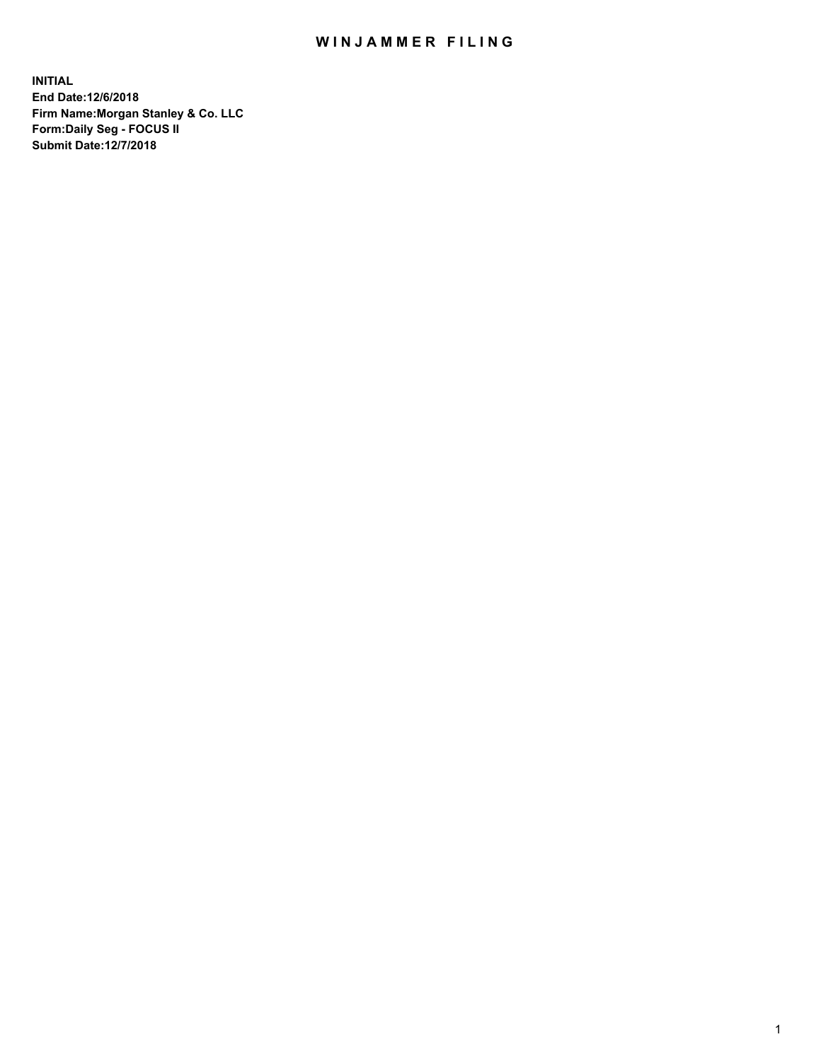## WIN JAMMER FILING

**INITIAL End Date:12/6/2018 Firm Name:Morgan Stanley & Co. LLC Form:Daily Seg - FOCUS II Submit Date:12/7/2018**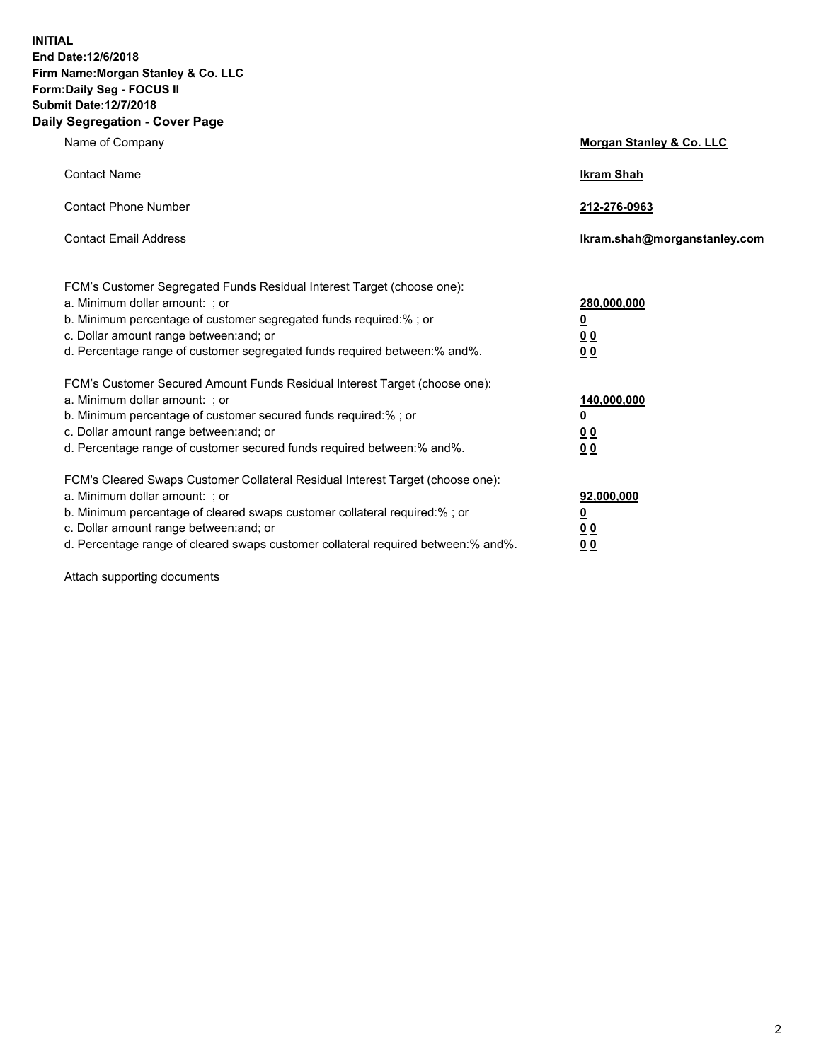**INITIAL End Date:12/6/2018 Firm Name:Morgan Stanley & Co. LLC Form:Daily Seg - FOCUS II Submit Date:12/7/2018 Daily Segregation - Cover Page**

| Name of Company                                                                                                                                                                                                                                                                                                                | Morgan Stanley & Co. LLC                               |
|--------------------------------------------------------------------------------------------------------------------------------------------------------------------------------------------------------------------------------------------------------------------------------------------------------------------------------|--------------------------------------------------------|
| <b>Contact Name</b>                                                                                                                                                                                                                                                                                                            | <b>Ikram Shah</b>                                      |
| <b>Contact Phone Number</b>                                                                                                                                                                                                                                                                                                    | 212-276-0963                                           |
| <b>Contact Email Address</b>                                                                                                                                                                                                                                                                                                   | Ikram.shah@morganstanley.com                           |
| FCM's Customer Segregated Funds Residual Interest Target (choose one):<br>a. Minimum dollar amount: ; or<br>b. Minimum percentage of customer segregated funds required:% ; or<br>c. Dollar amount range between: and; or<br>d. Percentage range of customer segregated funds required between:% and%.                         | 280,000,000<br><u>0</u><br><u>00</u><br>0 <sub>0</sub> |
| FCM's Customer Secured Amount Funds Residual Interest Target (choose one):<br>a. Minimum dollar amount: ; or<br>b. Minimum percentage of customer secured funds required:% ; or<br>c. Dollar amount range between: and; or<br>d. Percentage range of customer secured funds required between:% and%.                           | 140,000,000<br><u>0</u><br><u>00</u><br>00             |
| FCM's Cleared Swaps Customer Collateral Residual Interest Target (choose one):<br>a. Minimum dollar amount: ; or<br>b. Minimum percentage of cleared swaps customer collateral required:% ; or<br>c. Dollar amount range between: and; or<br>d. Percentage range of cleared swaps customer collateral required between:% and%. | 92,000,000<br><u>0</u><br><u>00</u><br>00              |

Attach supporting documents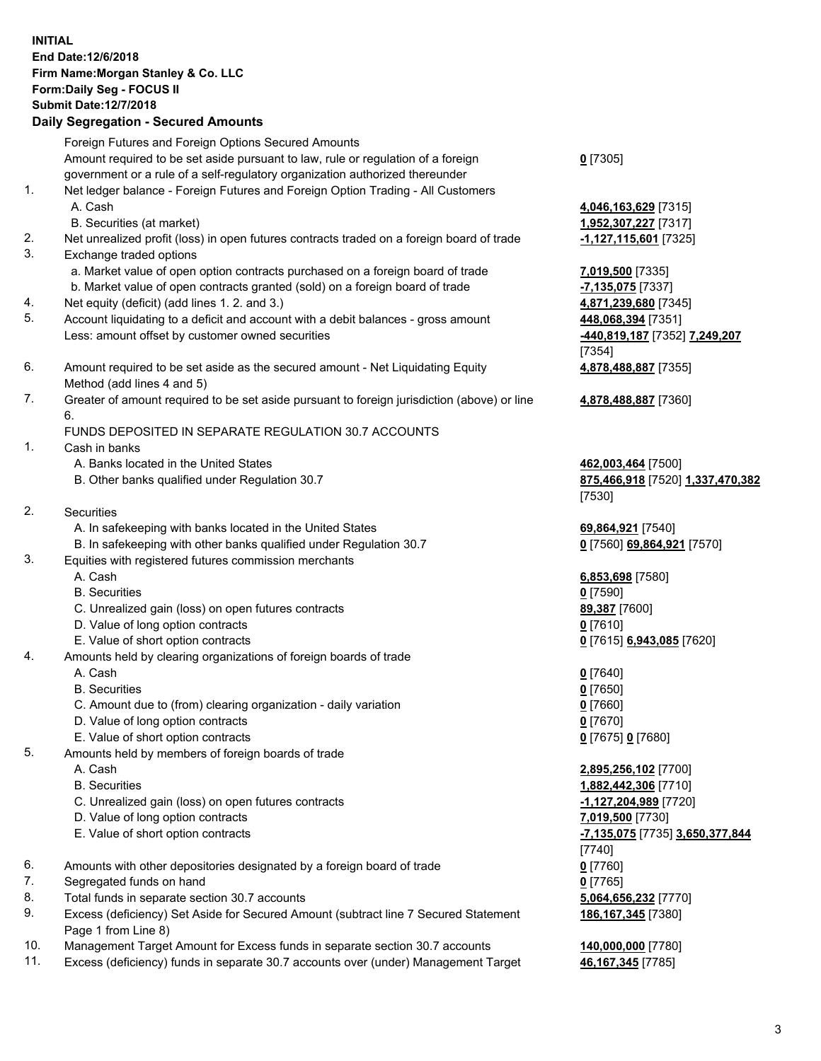## **INITIAL End Date:12/6/2018 Firm Name:Morgan Stanley & Co. LLC Form:Daily Seg - FOCUS II Submit Date:12/7/2018 Daily Segregation - Secured Amounts**

Foreign Futures and Foreign Options Secured Amounts Amount required to be set aside pursuant to law, rule or regulation of a foreign government or a rule of a self-regulatory organization authorized thereunder

- 1. Net ledger balance Foreign Futures and Foreign Option Trading All Customers A. Cash **4,046,163,629** [7315]
	- B. Securities (at market) **1,952,307,227** [7317]
- 2. Net unrealized profit (loss) in open futures contracts traded on a foreign board of trade **-1,127,115,601** [7325]
- 3. Exchange traded options
	- a. Market value of open option contracts purchased on a foreign board of trade **7,019,500** [7335]
	- b. Market value of open contracts granted (sold) on a foreign board of trade **-7,135,075** [7337]
- 4. Net equity (deficit) (add lines 1. 2. and 3.) **4,871,239,680** [7345]
- 5. Account liquidating to a deficit and account with a debit balances gross amount **448,068,394** [7351] Less: amount offset by customer owned securities **-440,819,187** [7352] **7,249,207**
- 6. Amount required to be set aside as the secured amount Net Liquidating Equity Method (add lines 4 and 5)
- 7. Greater of amount required to be set aside pursuant to foreign jurisdiction (above) or line 6.

## FUNDS DEPOSITED IN SEPARATE REGULATION 30.7 ACCOUNTS

- 1. Cash in banks
	- A. Banks located in the United States **462,003,464** [7500]
	- B. Other banks qualified under Regulation 30.7 **875,466,918** [7520] **1,337,470,382**
- 2. Securities
	- A. In safekeeping with banks located in the United States **69,864,921** [7540]
	- B. In safekeeping with other banks qualified under Regulation 30.7 **0** [7560] **69,864,921** [7570]
- 3. Equities with registered futures commission merchants
	-
	- B. Securities **0** [7590]
	- C. Unrealized gain (loss) on open futures contracts **89,387** [7600]
	- D. Value of long option contracts **0** [7610]
- E. Value of short option contracts **0** [7615] **6,943,085** [7620]
- 4. Amounts held by clearing organizations of foreign boards of trade
	- A. Cash **0** [7640]
	- B. Securities **0** [7650]
	- C. Amount due to (from) clearing organization daily variation **0** [7660]
	- D. Value of long option contracts **0** [7670]
	- E. Value of short option contracts **0** [7675] **0** [7680]
- 5. Amounts held by members of foreign boards of trade
	-
	-
	- C. Unrealized gain (loss) on open futures contracts **-1,127,204,989** [7720]
	- D. Value of long option contracts **7,019,500** [7730]
	- E. Value of short option contracts **-7,135,075** [7735] **3,650,377,844**
- 6. Amounts with other depositories designated by a foreign board of trade **0** [7760]
- 7. Segregated funds on hand **0** [7765]
- 8. Total funds in separate section 30.7 accounts **5,064,656,232** [7770]
- 9. Excess (deficiency) Set Aside for Secured Amount (subtract line 7 Secured Statement Page 1 from Line 8)
- 10. Management Target Amount for Excess funds in separate section 30.7 accounts **140,000,000** [7780]
- 11. Excess (deficiency) funds in separate 30.7 accounts over (under) Management Target **46,167,345** [7785]

**0** [7305]

[7354] **4,878,488,887** [7355]

**4,878,488,887** [7360]

[7530]

A. Cash **6,853,698** [7580]

 A. Cash **2,895,256,102** [7700] B. Securities **1,882,442,306** [7710] [7740] **186,167,345** [7380]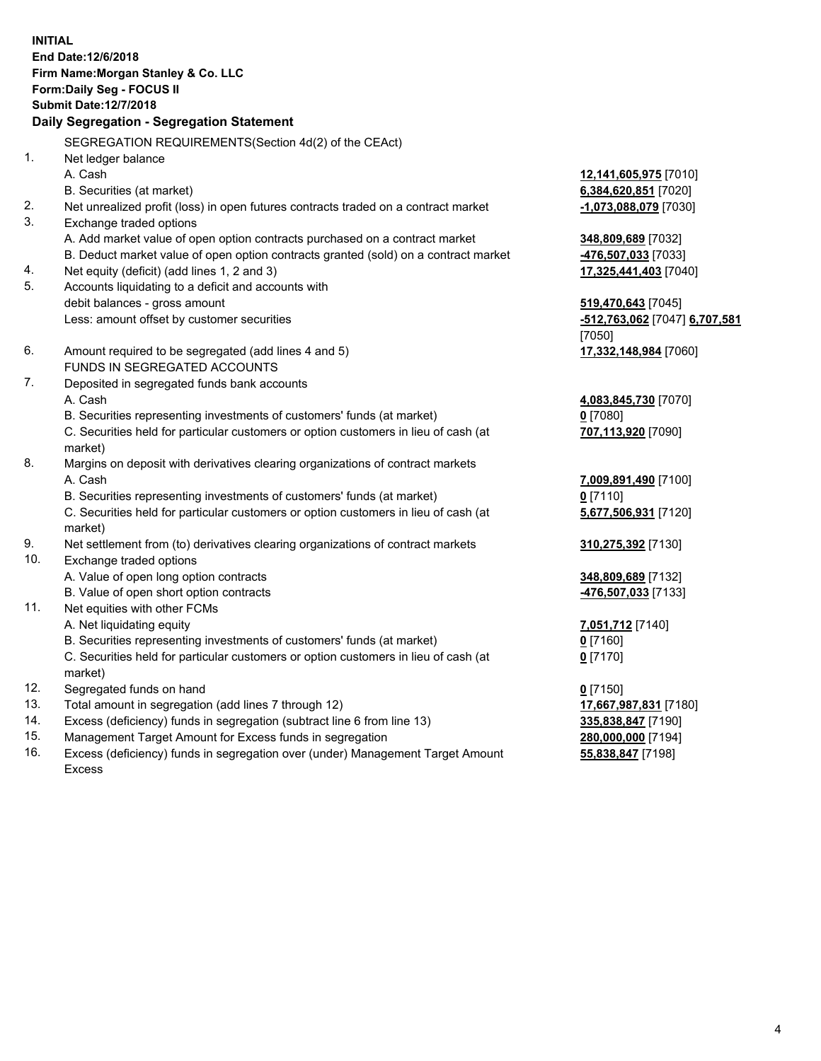**INITIAL End Date:12/6/2018 Firm Name:Morgan Stanley & Co. LLC Form:Daily Seg - FOCUS II Submit Date:12/7/2018 Daily Segregation - Segregation Statement** SEGREGATION REQUIREMENTS(Section 4d(2) of the CEAct) 1. Net ledger balance A. Cash **12,141,605,975** [7010] B. Securities (at market) **6,384,620,851** [7020] 2. Net unrealized profit (loss) in open futures contracts traded on a contract market **-1,073,088,079** [7030] 3. Exchange traded options A. Add market value of open option contracts purchased on a contract market **348,809,689** [7032] B. Deduct market value of open option contracts granted (sold) on a contract market **-476,507,033** [7033] 4. Net equity (deficit) (add lines 1, 2 and 3) **17,325,441,403** [7040] 5. Accounts liquidating to a deficit and accounts with debit balances - gross amount **519,470,643** [7045] Less: amount offset by customer securities **-512,763,062** [7047] **6,707,581** [7050] 6. Amount required to be segregated (add lines 4 and 5) **17,332,148,984** [7060] FUNDS IN SEGREGATED ACCOUNTS 7. Deposited in segregated funds bank accounts A. Cash **4,083,845,730** [7070] B. Securities representing investments of customers' funds (at market) **0** [7080] C. Securities held for particular customers or option customers in lieu of cash (at market) **707,113,920** [7090] 8. Margins on deposit with derivatives clearing organizations of contract markets A. Cash **7,009,891,490** [7100] B. Securities representing investments of customers' funds (at market) **0** [7110] C. Securities held for particular customers or option customers in lieu of cash (at market) **5,677,506,931** [7120] 9. Net settlement from (to) derivatives clearing organizations of contract markets **310,275,392** [7130] 10. Exchange traded options A. Value of open long option contracts **348,809,689** [7132] B. Value of open short option contracts **-476,507,033** [7133] 11. Net equities with other FCMs A. Net liquidating equity **7,051,712** [7140] B. Securities representing investments of customers' funds (at market) **0** [7160] C. Securities held for particular customers or option customers in lieu of cash (at market) **0** [7170] 12. Segregated funds on hand **0** [7150] 13. Total amount in segregation (add lines 7 through 12) **17,667,987,831** [7180] 14. Excess (deficiency) funds in segregation (subtract line 6 from line 13) **335,838,847** [7190]

- 15. Management Target Amount for Excess funds in segregation **280,000,000** [7194]
- 16. Excess (deficiency) funds in segregation over (under) Management Target Amount Excess

**55,838,847** [7198]